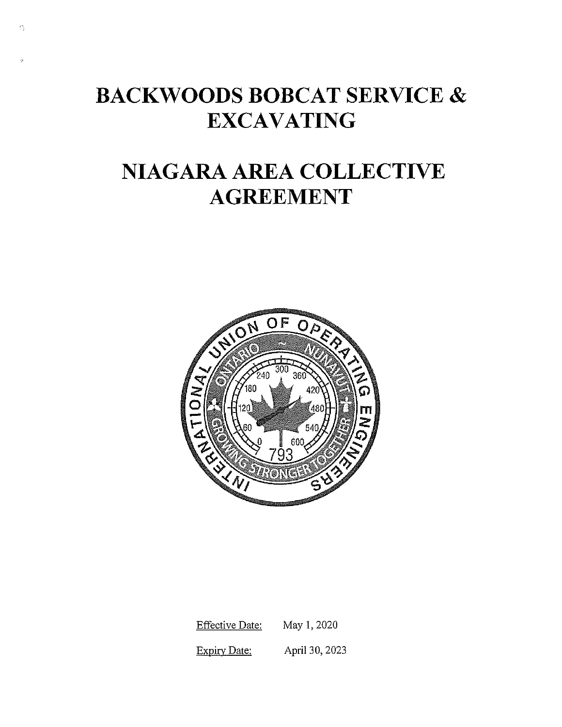# **BACKWOODS BOBCAT SERVICE** & **EXCAVATING**

 $\widehat{\mathbb{C}}_3^*$ 

# **NIAGARA AREA COLLECTIVE AGREEMENT**



Effective Date: May 1, 2020 Expiry Date: April 30, 2023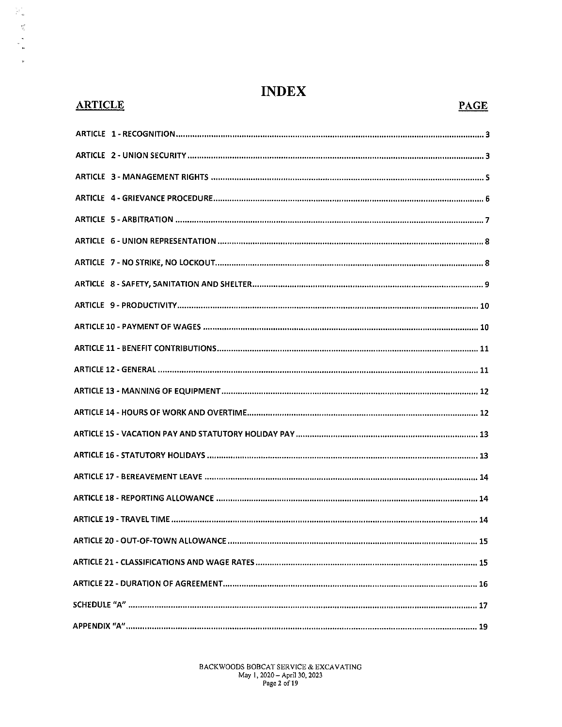| <b>ARTICLE</b> | <b>PAGE</b> |
|----------------|-------------|
|                |             |
|                |             |
|                |             |
|                |             |
|                |             |
|                |             |
|                |             |
|                |             |
|                |             |
|                |             |
|                |             |
|                |             |
|                |             |
|                |             |
|                |             |
|                |             |
|                |             |
|                |             |
|                |             |
|                |             |
|                |             |
|                |             |
|                |             |
|                |             |

# **INDEX**

# **ARTICLE**

 $\frac{1}{\beta^2}$ 

 $\begin{bmatrix} 1 & 0 & 0 \\ 0 & 0 & 0 \\ 0 & 0 & 0 \\ 0 & 0 & 0 \\ 0 & 0 & 0 \\ 0 & 0 & 0 & 0 \\ 0 & 0 & 0 & 0 \\ 0 & 0 & 0 & 0 \\ 0 & 0 & 0 & 0 & 0 \\ 0 & 0 & 0 & 0 & 0 \\ 0 & 0 & 0 & 0 & 0 \\ 0 & 0 & 0 & 0 & 0 & 0 \\ 0 & 0 & 0 & 0 & 0 & 0 \\ 0 & 0 & 0 & 0 & 0 & 0 & 0 \\ 0 & 0 & 0 & 0 & 0 & 0 & 0 \\ 0 & 0 & 0 &$ 

 $\bar{\mathcal{R}}$ 

BACKWOODS BOBCAT SERVICE & EXCAVATING May 1, 2020 – April 30, 2023<br>Page 2 of 19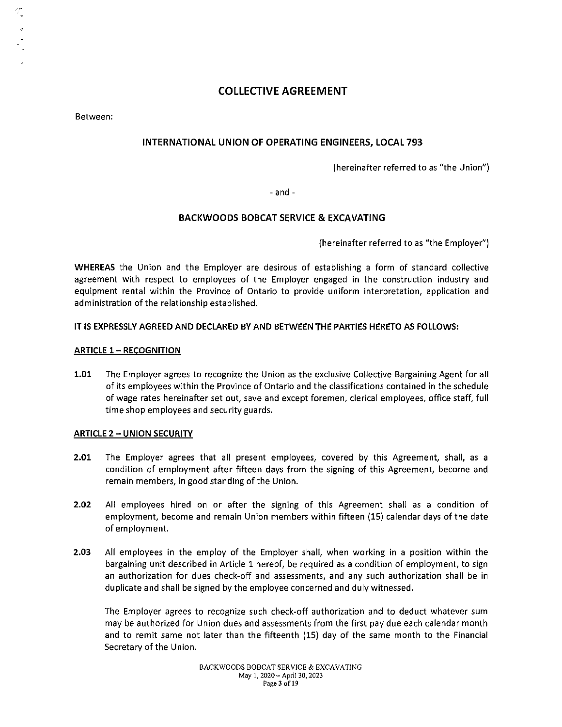# **COLLECTIVE AGREEMENT**

Between:

# **INTERNATIONAL UNION OF OPERATING ENGINEERS, LOCAL 793**

(hereinafter referred to as "the Union")

- and -

# **BACKWOODS BOBCAT SERVICE & EXCAVATING**

(hereinafter referred to as "the Employer")

**WHEREAS** the Union and the Employer are desirous of establishing a form of standard collective agreement with respect to employees of the Employer engaged in the construction industry and equipment rental within the Province of Ontario to provide uniform interpretation, application and administration of the relationship established.

#### **IT IS EXPRESSLY AGREED AND DECLARED BY AND BETWEEN THE PARTIES HERETO AS FOLLOWS:**

#### **ARTICLE 1- RECOGNITION**

**1.01** The Employer agrees to recognize the Union as the exclusive Collective Bargaining Agent for all of its employees within the Province of Ontario and the classifications contained in the schedule of wage rates hereinafter set out, save and except foremen, clerical employees, office staff, full time shop employees and security guards.

#### **ARTICLE 2 - UNION SECURITY**

- **2.01** The Employer agrees that all present employees, covered by this Agreement, shall, as a condition of employment after fifteen days from the signing of this Agreement, become and remain members, in good standing of the Union.
- **2.02** All employees hired on or after the signing of this Agreement shall as a condition of employment, become and remain Union members within fifteen (15) calendar days of the date of employment.
- **2.03** All employees in the employ of the Employer shall, when working in a position within the bargaining unit described in Article 1 hereof, be required as a condition of employment, to sign an authorization for dues check-off and assessments, and any such authorization shall be in duplicate and shall be signed by the employee concerned and duly witnessed.

The Employer agrees to recognize such check-off authorization and to deduct whatever sum may be authorized for Union dues and assessments from the first pay due each calendar month and to remit same not later than the fifteenth (15) day of the same month to the Financial Secretary of the Union.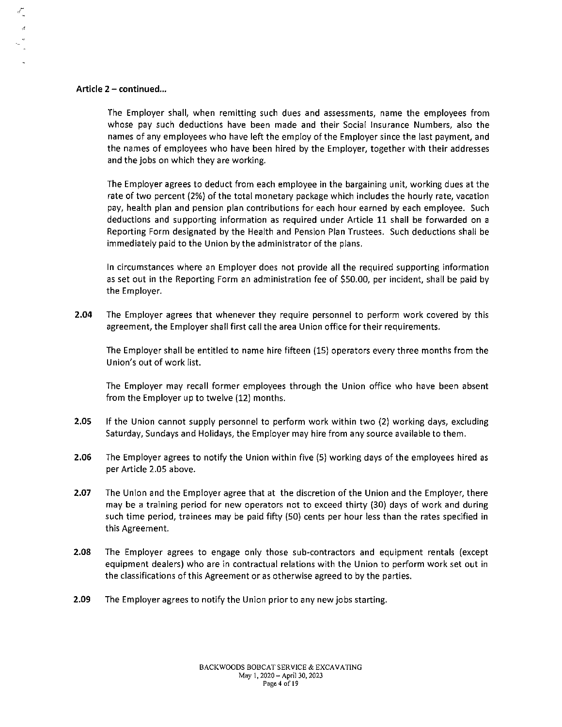#### Article  $2$  - continued...

 $\frac{1}{2}$ 

The Employer shall, when remitting such dues and assessments, name the employees from whose pay such deductions have been made and their Social Insurance Numbers, also the names of any employees who have left the employ of the Employer since the last payment, and the names of employees who have been hired by the Employer, together with their addresses and the jobs on which they are working.

The Employer agrees to deduct from each employee in the bargaining unit, working dues at the rate of two percent (2%) of the total monetary package which includes the hourly rate, vacation pay, health plan and pension plan contributions for each hour earned by each employee. Such deductions and supporting information as required under Article 11 shall be forwarded on a Reporting Form designated by the Health and Pension Plan Trustees. Such deductions shall be immediately paid to the Union by the administrator of the plans.

In circumstances where an Employer does not provide all the required supporting information as set out in the Reporting Form an administration fee of \$50.00, per incident, shall be paid by the Employer.

2.04 The Employer agrees that whenever they require personnel to perform work covered by this agreement, the Employer shall first call the area Union office for their requirements.

The Employer shall be entitled to name hire fifteen (15) operators every three months from the Union's out of work list.

The Employer may recall former employees through the Union office who have been absent from the Employer up to twelve (12) months.

- 2.05 If the Union cannot supply personnel to perform work within two (2) working days, excluding Saturday, Sundays and Holidays, the Employer may hire from any source available to them.
- 2.06 The Employer agrees to notify the Union within five (5) working days of the employees hired as per Article 2.05 above.
- 2.07 The Union and the Employer agree that at the discretion of the Union and the Employer, there may be a training period for new operators not to exceed thirty (30) days of work and during such time period, trainees may be paid fifty (SO) cents per hour less than the rates specified in this Agreement.
- 2.08 The Employer agrees to engage only those sub-contractors and equipment rentals (except equipment dealers) who are in contractual relations with the Union to perform work set out in the classifications of this Agreement or as otherwise agreed to by the parties.
- 2.09 The Employer agrees to notify the Union prior to any new jobs starting.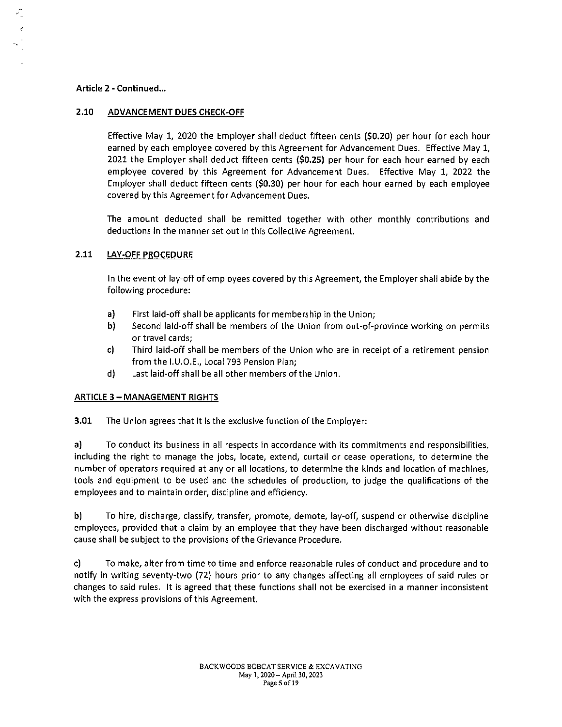#### **Article 2 - Continued ...**

### **2.10 ADVANCEMENT DUES CHECK-OFF**

Effective May 1, 2020 the Employer shall deduct fifteen cents **(\$0.20)** per hour for each hour earned by each employee covered by this Agreement for Advancement Dues. Effective May 1, 2021 the Employer shall deduct fifteen cents **(\$0.25)** per hour for each hour earned by each employee covered by this Agreement for Advancement Dues. Effective May 1, 2022 the Employer shall deduct fifteen cents **(\$0.30}** per hour for each hour earned by each employee covered by this Agreement for Advancement Dues.

The amount deducted shall be remitted together with other monthly contributions and deductions in the manner set out in this Collective Agreement.

### **2.11 LAY-OFF PROCEDURE**

In the event of lay-off of employees covered by this Agreement, the Employer shall abide by the following procedure:

- **a)** First laid-off shall be applicants for membership in the Union;
- **b)** Second laid-off shall be members of the Union from out-of-province working on permits or travel cards;
- c) Third laid-off shall be members of the Union who are in receipt of a retirement pension from the 1.U.O.E., Local 793 Pension Plan;
- d) Last laid-off shall be all other members of the Union.

#### **ARTICLE 3 - MANAGEMENT RIGHTS**

**3.01** The Union agrees that it is the exclusive function of the Employer:

**a)** To conduct its business in all respects in accordance with its commitments and responsibilities, including the right to manage the jobs, locate, extend, curtail or cease operations, to determine the number of operators required at any or all locations, to determine the kinds and location of machines, tools and equipment to be used and the schedules of production, to judge the qualifications of the employees and to maintain order, discipline and efficiency.

**b)** To hire, discharge, classify, transfer, promote, demote, lay-off, suspend or otherwise discipline employees, provided that a claim by an employee that they have been discharged without reasonable cause shall be subject to the provisions of the Grievance Procedure.

c) To make, alter from time to time and enforce reasonable rules of conduct and procedure and to notify in writing seventy-two (72) hours prior to any changes affecting all employees of said rules or changes to said rules. It is agreed that these functions shall not be exercised in a manner inconsistent with the express provisions of this Agreement.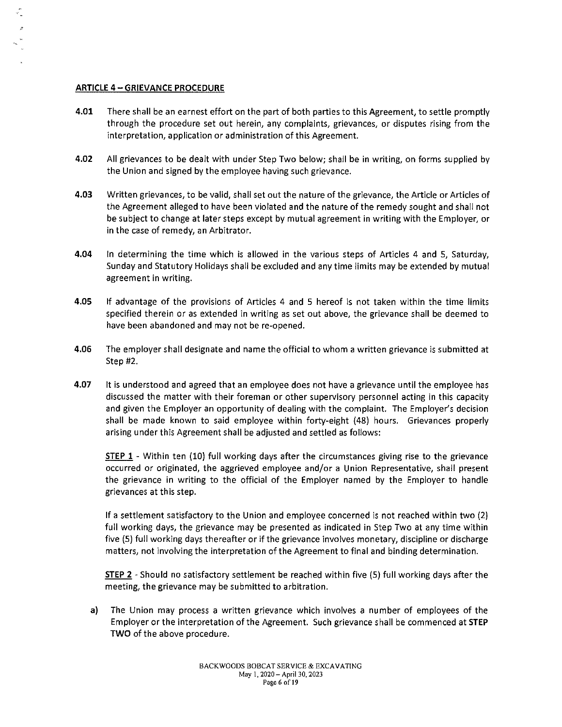#### ARTICLE 4 - GRIEVANCE PROCEDURE

- 4.01 There shall be an earnest effort on the part of both parties to this Agreement, to settle promptly through the procedure set out herein, any complaints, grievances, or disputes rising from the interpretation, application or administration of this Agreement.
- 4.02 All grievances to be dealt with under Step Two below; shall be in writing, on forms supplied by the Union and signed by the employee having such grievance.
- 4.03 Written grievances, to be valid, shall set out the nature of the grievance, the Article or Articles of the Agreement alleged to have been violated and the nature of the remedy sought and shall not be subject to change at later steps except by mutual agreement in writing with the Employer, or in the case of remedy, an Arbitrator.
- 4.04 In determining the time which is allowed in the various steps of Articles 4 and 5, Saturday, Sunday and Statutory Holidays shall be excluded and any time limits may be extended by mutual agreement in writing.
- 4.05 If advantage of the provisions of Articles 4 and 5 hereof is not taken within the time limits specified therein or as extended in writing as set out above, the grievance shall be deemed to have been abandoned and may not be re-opened.
- 4.06 The employer shall designate and name the official to whom a written grievance is submitted at Step #2.
- 4.07 It is understood and agreed that an employee does not have a grievance until the employee has discussed the matter with their foreman or other supervisory personnel acting in this capacity and given the Employer an opportunity of dealing with the complaint. The Employer's decision shall be made known to said employee within forty-eight (48) hours. Grievances properly arising under this Agreement shall be adjusted and settled as follows:

STEP 1 - Within ten (10) full working days after the circumstances giving rise to the grievance occurred or originated, the aggrieved employee and/or a Union Representative, shall present the grievance in writing to the official of the Employer named by the Employer to handle grievances at this step.

If a settlement satisfactory to the Union and employee concerned is not reached within two (2) full working days, the grievance may be presented as indicated in Step Two at any time within five (5) full working days thereafter or if the grievance involves monetary, discipline or discharge matters, not involving the interpretation of the Agreement to final and binding determination.

STEP 2 - Should no satisfactory settlement be reached within five (5) full working days after the meeting, the grievance may be submitted to arbitration.

a) The Union may process a written grievance which involves a number of employees of the Employer or the interpretation of the Agreement. Such grievance shall be commenced at STEP TWO of the above procedure.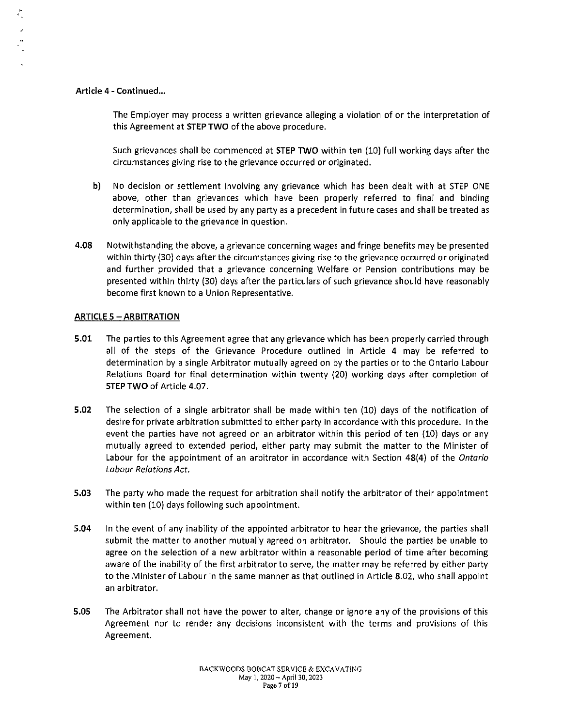#### Article 4 - Continued...

The Employer may process a written grievance alleging a violation of or the interpretation of this Agreement at STEP TWO of the above procedure.

Such grievances shall be commenced at STEP TWO within ten (10) full working days after the circumstances giving rise to the grievance occurred or originated.

- b) No decision or settlement involving any grievance which has been dealt with at STEP ONE above, other than grievances which have been properly referred to final and binding determination, shall be used by any party as a precedent in future cases and shall be treated as only applicable to the grievance in question.
- 4.08 Notwithstanding the above, a grievance concerning wages and fringe benefits may be presented within thirty (30) days after the circumstances giving rise to the grievance occurred or originated and further provided that a grievance concerning Welfare or Pension contributions may be presented within thirty (30) days after the particulars of such grievance should have reasonably become first known to a Union Representative.

#### **ARTICLE 5 - ARBITRATION**

- 5.01 The parties to this Agreement agree that any grievance which has been properly carried through all of the steps of the Grievance Procedure outlined in Article 4 may be referred to determination by a single Arbitrator mutually agreed on by the parties or to the Ontario Labour Relations Board for final determination within twenty (20) working days after completion of STEP TWO of Article 4.07.
- 5.02 The selection of a single arbitrator shall be made within ten (10) days of the notification of desire for private arbitration submitted to either party in accordance with this procedure. In the event the parties have not agreed on an arbitrator within this period of ten (10) days or any mutually agreed to extended period, either party may submit the matter to the Minister of Labour for the appointment of an arbitrator in accordance with Section 48(4) of the *Ontario Labour Relations Act.*
- 5.03 The party who made the request for arbitration shall notify the arbitrator of their appointment within ten (10) days following such appointment.
- 5.04 In the event of any inability of the appointed arbitrator to hear the grievance, the parties shall submit the matter to another mutually agreed on arbitrator. Should the parties be unable to agree on the selection of a new arbitrator within a reasonable period of time after becoming aware of the inability of the first arbitrator to serve, the matter may be referred by either party to the Minister of Labour in the same manner as that outlined in Article 8.02, who shall appoint an arbitrator.
- 5.05 The Arbitrator shall not have the power to alter, change or ignore any of the provisions of this Agreement nor to render any decisions inconsistent with the terms and provisions of this Agreement.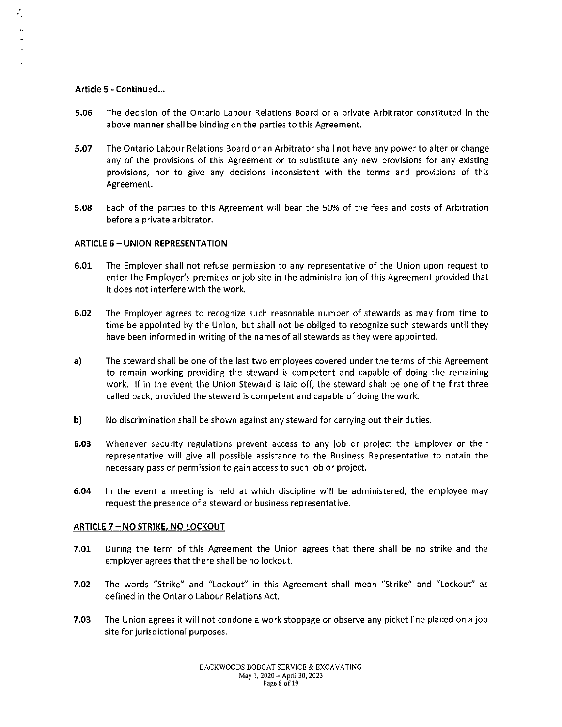#### Article 5 - Continued...

 $\mathcal{E}_{\mathbf{r}}$ 

- 5.06 The decision of the Ontario Labour Relations Board or a private Arbitrator constituted in the above manner shall be binding on the parties to this Agreement.
- 5.07 The Ontario Labour Relations Board or an Arbitrator shall not have any power to alter or change any of the provisions of this Agreement or to substitute any new provisions for any existing provisions, nor to give any decisions inconsistent with the terms and provisions of this Agreement.
- 5.08 Each of the parties to this Agreement will bear the 50% of the fees and costs of Arbitration before a private arbitrator.

#### ARTICLE 6 - UNION REPRESENTATION

- 6.01 The Employer shall not refuse permission to any representative of the Union upon request to enter the Employer's premises or job site in the administration of this Agreement provided that it does not interfere with the work.
- 6.02 The Employer agrees to recognize such reasonable number of stewards as may from time to time be appointed by the Union, but shall not be obliged to recognize such stewards until they have been informed in writing of the names of all stewards as they were appointed.
- a) The steward shall be one of the last two employees covered under the terms of this Agreement to remain working providing the steward is competent and capable of doing the remaining work. If in the event the Union Steward is laid off, the steward shall be one of the first three called back, provided the steward is competent and capable of doing the work.
- b) No discrimination shall be shown against any steward for carrying out their duties.
- 6.03 Whenever security regulations prevent access to any job or project the Employer or their representative will give all possible assistance to the Business Representative to obtain the necessary pass or permission to gain access to such job or project.
- 6.04 In the event a meeting is held at which discipline will be administered, the employee may request the presence of a steward or business representative.

#### ARTICLE 7 - NO STRIKE, NO LOCKOUT

- 7.01 During the term of this Agreement the Union agrees that there shall be no strike and the employer agrees that there shall be no lockout.
- **7.02** The words "Strike" and "Lockout" in this Agreement shall mean "Strike" and "Lockout" as defined in the Ontario Labour Relations Act.
- 7.03 The Union agrees it will not condone a work stoppage or observe any picket line placed on a job site for jurisdictional purposes.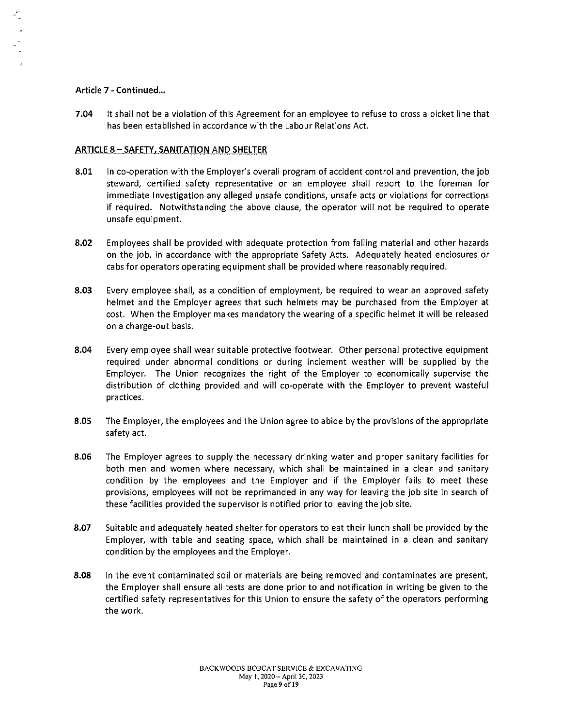#### Article 7 - Continued...

7.04 It shall not be a violation of this Agreement for an employee to refuse to cross a picket line that has been established in accordance with the Labour Relations Act.

#### ARTICLE 8 - SAFETY, SANITATION AND SHELTER

- 8.01 In co-operation with the Employer's overall program of accident control and prevention, the job steward, certified safety representative or an employee shall report to the foreman for immediate Investigation any alleged unsafe conditions, unsafe acts or violations for corrections if required. Notwithstanding the above clause, the operator will not be required to operate unsafe equipment.
- 8.02 Employees shall be provided with adequate protection from falling material and other hazards on the job, in accordance with the appropriate Safety Acts. Adequately heated enclosures or cabs for operators operating equipment shall be provided where reasonably required.
- 8.03 Every employee shall, as a condition of employment, be required to wear an approved safety helmet and the Employer agrees that such helmets may be purchased from the Employer at cost. When the Employer makes mandatory the wearing of a specific helmet it will be released on a charge-out basis.
- 8.04 Every employee shall wear suitable protective footwear. Other personal protective equipment required under abnormal conditions or during inclement weather will be supplied by the Employer. The Union recognizes the right of the Employer to economically supervise the distribution of clothing provided and will co-operate with the Employer to prevent wasteful practices.
- 8.05 The Employer, the employees and the Union agree to abide by the provisions of the appropriate safety act.
- 8.06 The Employer agrees to supply the necessary drinking water and proper sanitary facilities for both men and women where necessary, which shall be maintained in a clean and sanitary condition by the employees and the Employer and if the Employer fails to meet these provisions, employees will not be reprimanded in any way for leaving the job site in search of these facilities provided the supervisor is notified prior to leaving the job site.
- 8.07 Suitable and adequately heated shelter for operators to eat their lunch shall be provided by the Employer, with table and seating space, which shall be maintained in a clean and sanitary condition by the employees and the Employer.
- 8.08 In the event contaminated soil or materials are being removed and contaminates are present, the Employer shall ensure all tests are done prior to and notification in writing be given to the certified safety representatives for this Union to ensure the safety of the operators performing the work.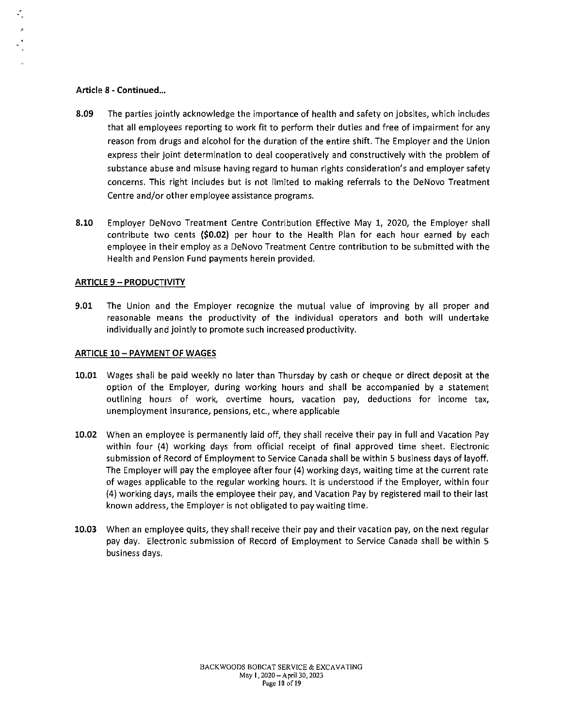#### Article 8 - Continued...

- 8.09 The parties jointly acknowledge the importance of health and safety on jobsites, which includes that all employees reporting to work fit to perform their duties and free of impairment for any reason from drugs and alcohol for the duration of the entire shift. The Employer and the Union express their joint determination to deal cooperatively and constructively with the problem of substance abuse and misuse having regard to human rights consideration's and employer safety concerns. This right includes but is not limited to making referrals to the DeNovo Treatment Centre and/or other employee assistance programs.
- 8.10 Employer DeNovo Treatment Centre Contribution Effective May 1, 2020, the Employer shall contribute two cents (\$0.02) per hour to the Health Plan for each hour earned by each employee in their employ as a DeNovo Treatment Centre contribution to be submitted with the Health and Pension Fund payments herein provided.

#### **ARTICLE 9 - PRODUCTIVITY**

9.01 The Union and the Employer recognize the mutual value of improving by all proper and reasonable means the productivity of the individual operators and both will undertake individually and jointly to promote such increased productivity.

#### ARTICLE 10- PAYMENT OF WAGES

- 10.01 Wages shall be paid weekly no later than Thursday by cash or cheque or direct deposit at the option of the Employer, during working hours and shall be accompanied by a statement outlining hours of work, overtime hours, vacation pay, deductions for income tax, unemployment insurance, pensions, etc., where applicable
- 10.02 When an employee is permanently laid off, they shall receive their pay in full and Vacation Pay within four (4) working days from official receipt of final approved time sheet. Electronic submission of Record of Employment to Service Canada shall be within 5 business days of layoff. The Employer will pay the employee after four (4) working days, waiting time at the current rate of wages applicable to the regular working hours. It is understood if the Employer, within four (4) working days, mails the employee their pay, and Vacation Pay by registered mail to their last known address, the Employer is not obligated to pay waiting time.
- 10.03 When an employee quits, they shall receive their pay and their vacation pay, on the next regular pay day. Electronic submission of Record of Employment to Service Canada shall be within 5 business days.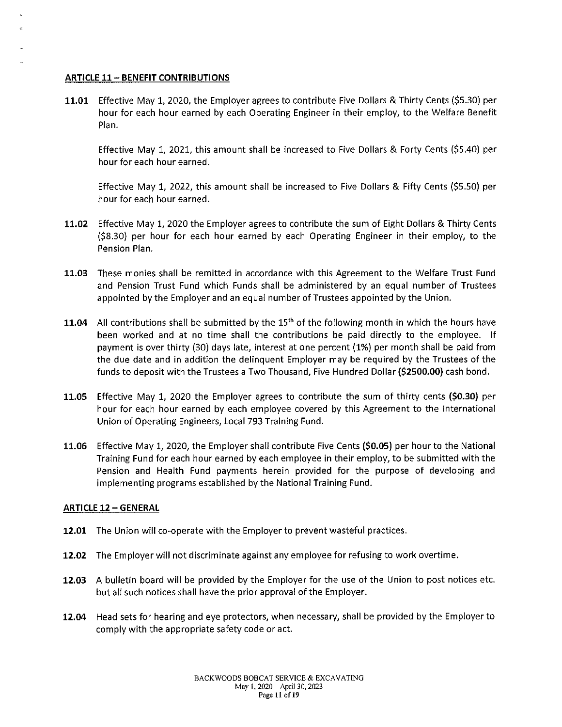#### **ARTICLE 11- BENEFIT CONTRIBUTIONS**

**11.01** Effective May 1, 2020, the Employer agrees to contribute Five Dollars & Thirty Cents (\$5.30) per hour for each hour earned by each Operating Engineer in their employ, to the Welfare Benefit Plan.

Effective May 1, 2021, this amount shall be increased to Five Dollars & Forty Cents (\$5.40) per hour for each hour earned.

Effective May **1,** 2022, this amount shall be increased to Five Dollars & Fifty Cents (\$5.50) per hour for each hour earned.

- **11.02** Effective May **1,** 2020 the Employer agrees to contribute the sum of Eight Dollars & Thirty Cents (\$8.30) per hour for each hour earned by each Operating Engineer in their employ, to the Pension Plan.
- **11.03** These monies shall be remitted in accordance with this Agreement to the Welfare Trust Fund and Pension Trust Fund which Funds shall be administered by an equal number of Trustees appointed by the Employer and an equal number of Trustees appointed by the Union.
- **11.04** All contributions shall be submitted by the 15<sup>th</sup> of the following month in which the hours have been worked and at no time shall the contributions be paid directly to the employee. If payment is over thirty (30) days late, interest at one percent (1%) per month shall be paid from the due date and in addition the delinquent Employer may be required by the Trustees of the funds to deposit with the Trustees a Two Thousand, Five Hundred Dollar **(\$2500.00)** cash bond.
- **11.05** Effective May **1,** 2020 the Employer agrees to contribute the sum of thirty cents **(\$0.30}** per hour for each hour earned by each employee covered by this Agreement to the International Union of Operating Engineers, Local 793 Training Fund.
- **11.06** Effective May 1, 2020, the Employer shall contribute Five Cents **(\$0.05)** per hour to the National Training Fund for each hour earned by each employee in their employ, to be submitted with the Pension and Health Fund payments herein provided for the purpose of developing and implementing programs established by the National Training Fund.

#### **ARTICLE 12 - GENERAL**

- **12.01** The Union will co-operate with the Employer to prevent wasteful practices.
- **12.02** The Employer will not discriminate against any employee for refusing to work overtime.
- **12.03** A bulletin board will be provided by the Employer for the use of the Union to post notices etc. but all such notices shall have the prior approval of the Employer.
- **12.04** Head sets for hearing and eye protectors, when necessary, shall be provided by the Employer to comply with the appropriate safety code or act.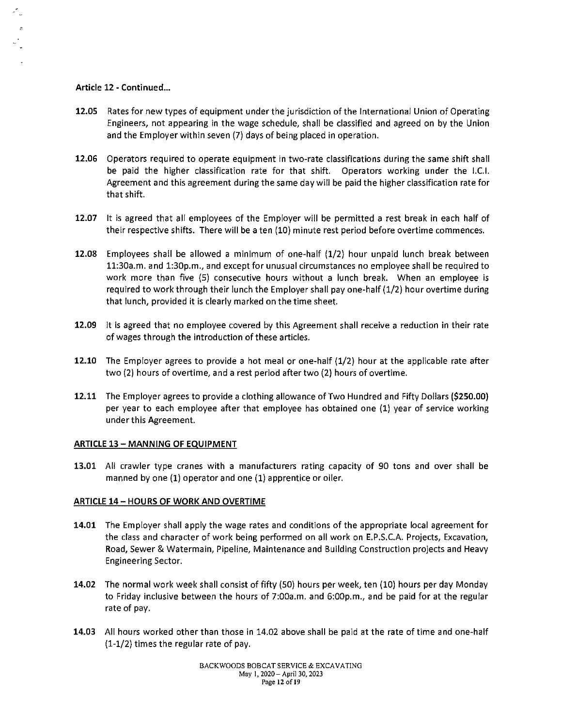#### Article 12 - Continued...

- 12.05 Rates for new types of equipment under the jurisdiction of the International Union of Operating Engineers, not appearing in the wage schedule, shall be classified and agreed on by the Union and the Employer within seven (7) days of being placed in operation.
- 12.06 Operators required to operate equipment in two-rate classifications during the same shift shall be paid the higher classification rate for that shift. Operators working under the l.C.I. Agreement and this agreement during the same day will be paid the higher classification rate for that shift.
- 12.07 It is agreed that all employees of the Employer will be permitted a rest break in each half of their respective shifts. There will be a ten (10) minute rest period before overtime commences.
- 12.08 Employees shall be allowed a minimum of one-half (1/2) hour unpaid lunch break between 11:30a.m. and 1:30p.m., and except for unusual circumstances no employee shall be required to work more than five (5) consecutive hours without a lunch break. When an employee is required to work through their lunch the Employer shall pay one-half (1/2) hour overtime during that lunch, provided it is clearly marked on the time sheet.
- 12.09 It is agreed that no employee covered by this Agreement shall receive a reduction in their rate of wages through the introduction of these articles.
- 12.10 The Employer agrees to provide a hot meal or one-half (1/2) hour at the applicable rate after two (2) hours of overtime, and a rest period after two (2) hours of overtime.
- 12.11 The Employer agrees to provide a clothing allowance of Two Hundred and Fifty Dollars (\$250.00) per year to each employee after that employee has obtained one (1) year of service working under this Agreement.

#### ARTICLE 13 - MANNING OF EQUIPMENT

13.01 All crawler type cranes with a manufacturers rating capacity of 90 tons and over shall be manned by one (1) operator and one (1) apprentice or oiler.

#### ARTICLE 14- HOURS OF WORK AND OVERTIME

- 14.01 The Employer shall apply the wage rates and conditions of the appropriate local agreement for the class and character of work being performed on all work on E.P.S.C.A. Projects, Excavation, Road, Sewer & Watermain, Pipeline, Maintenance and Building Construction projects and Heavy Engineering Sector.
- 14.02 The normal work week shall consist of fifty (50) hours per week, ten (10) hours per day Monday to Friday inclusive between the hours of 7:00a.m. and 6:00p.m., and be paid for at the regular rate of pay.
- 14.03 All hours worked other than those in 14.02 above shall be paid at the rate of time and one-half (1-1/2) times the regular rate of pay.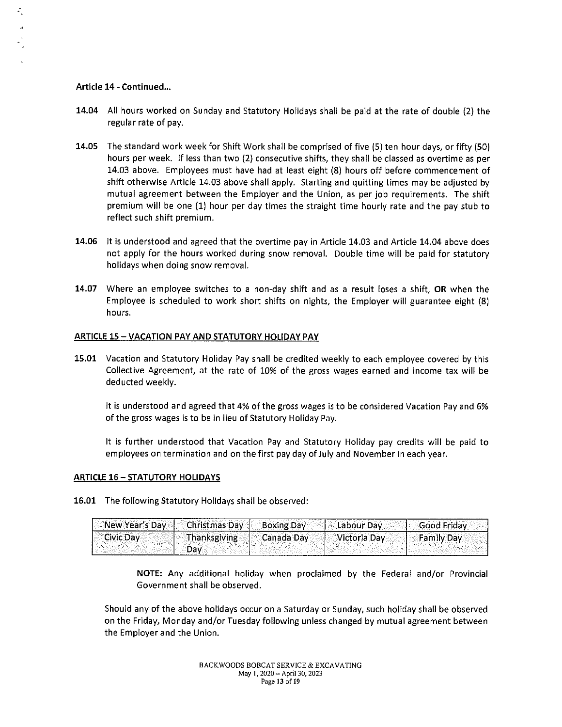#### **Article 14 - Continued ...**

 $\stackrel{\rho}{\cdot}_{\nu}$ 

- **14.04** All hours worked on Sunday and Statutory Holidays shall be paid at the rate of double (2) the regular rate of pay.
- **14.05** The standard work week for Shift Work shall be comprised of five (S) ten hour days, or fifty (50) hours per week. If less than two (2) consecutive shifts, they shall be classed as overtime as per 14.03 above. Employees must have had at least eight (8) hours off before commencement of shift otherwise Article 14.03 above shall apply. Starting and quitting times may be adjusted by mutual agreement between the Employer and the Union, as per job requirements. The shift premium will be one (1) hour per day times the straight time hourly rate and the pay stub to reflect such shift premium.
- **14.06** It is understood and agreed that the overtime pay in Article 14.03 and Article 14.04 above does not apply for the hours worked during snow removal. Double time will be paid for statutory holidays when doing snow removal.
- **14.07** Where an employee switches to a non-day shift and as a result loses a shift, **OR** when the Employee is scheduled to work short shifts on nights, the Employer will guarantee eight (8) hours.

#### **ARTICLE 15 -VACATION PAY AND STATUTORY HOLIDAY PAY**

**15.01** Vacation and Statutory Holiday Pay shall be credited weekly to each employee covered by this Collective Agreement, at the rate of 10% of the gross wages earned and income tax will be deducted weekly.

It is understood and agreed that 4% of the gross wages is to be considered Vacation Pay and 6% of the gross wages is to be in lieu of Statutory Holiday Pay.

It is further understood that Vacation Pay and Statutory Holiday pay credits will be paid to employees on termination and on the first pay day of July and November in each year.

#### **ARTICLE 16- STATUTORY HOLIDAYS**

**16.01** The following Statutory Holidays shall be observed:

| New Year's Day   Christmas Day   Boxing Day |                                | ' Labour Day | <b>Good Friday</b> |
|---------------------------------------------|--------------------------------|--------------|--------------------|
| $\vert$ Civic Day                           | Thanksgiving <b>Canada Day</b> | Victoria Day | <b>Family Day</b>  |

**NOTE:** Any additional holiday when proclaimed by the Federal and/or Provincial Government shall be observed.

Should any of the above holidays occur on a Saturday or Sunday, such holiday shall be observed on the Friday, Monday and/or Tuesday following unless changed by mutual agreement between the Employer and the Union.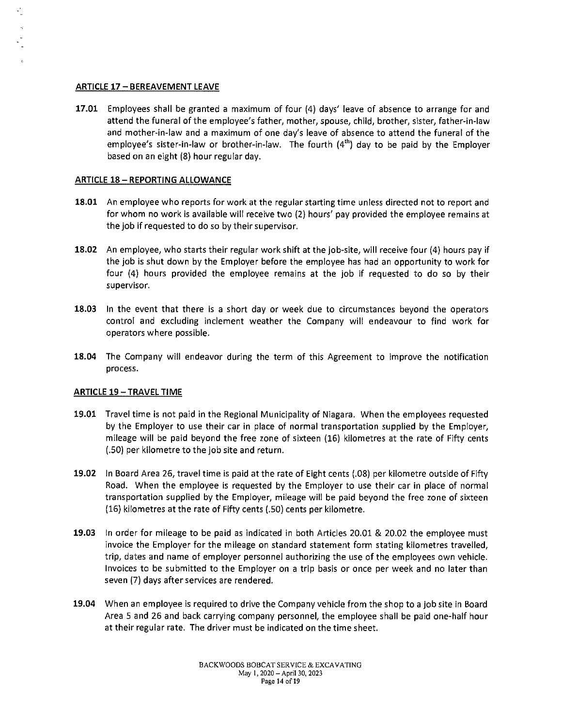#### ARTICLE 17 - BEREAVEMENT LEAVE

17.01 Employees shall be granted a maximum of four (4) days' leave of absence to arrange for and attend the funeral of the employee's father, mother, spouse, child, brother, sister, father-in-law and mother-in-law and a maximum of one day's leave of absence to attend the funeral of the employee's sister-in-law or brother-in-law. The fourth  $(4<sup>th</sup>)$  day to be paid by the Employer based on an eight (8) hour regular day.

#### **ARTICLE 18 - REPORTING ALLOWANCE**

- 18.01 An employee who reports for work at the regular starting time unless directed not to report and for whom no work is available will receive two (2) hours' pay provided the employee remains at the job if requested to do so by their supervisor.
- 18.02 An employee, who starts their regular work shift at the job-site, will receive four (4) hours pay if the job is shut down by the Employer before the employee has had an opportunity to work for four (4) hours provided the employee remains at the job if requested to do so by their **supervisor.**
- 18.03 In the event that there is a short day or week due to circumstances beyond the operators control and excluding inclement weather the Company will endeavour to find work for operators where possible.
- 18.04 The Company will endeavor during the term of this Agreement to improve the notification process.

#### ARTICLE 19 - TRAVEL TIME

- 19.01 Travel time is not paid in the Regional Municipality of Niagara. When the employees requested by the Employer to use their car in place of normal transportation supplied by the Employer, mileage will be paid beyond the free zone of sixteen (16) kilometres at the rate of Fifty cents (.50) per kilometre to the job site and return.
- 19.02 In Board Area 26, travel time is paid at the rate of Eight cents (.08) per kilometre outside of Fifty Road. When the employee is requested by the Employer to use their car in place of normal transportation supplied by the Employer, mileage will be paid beyond the free zone of sixteen (16) kilometres at the rate of Fifty cents (.50) cents per kilometre.
- 19.03 In order for mileage to be paid as indicated in both Articles 20.01 & 20.02 the employee must invoice the Employer for the mileage on standard statement form stating kilometres travelled, trip, dates and name of employer personnel authorizing the use of the employees own vehicle. Invoices to be submitted to the Employer on a trip basis or once per week and no later than seven (7) days after services are rendered.
- 19.04 When an employee is required to drive the Company vehicle from the shop to a job site in Board Area 5 and 26 and back carrying company personnel, the employee shall be paid one-half hour at their regular rate. The driver must be indicated on the time sheet.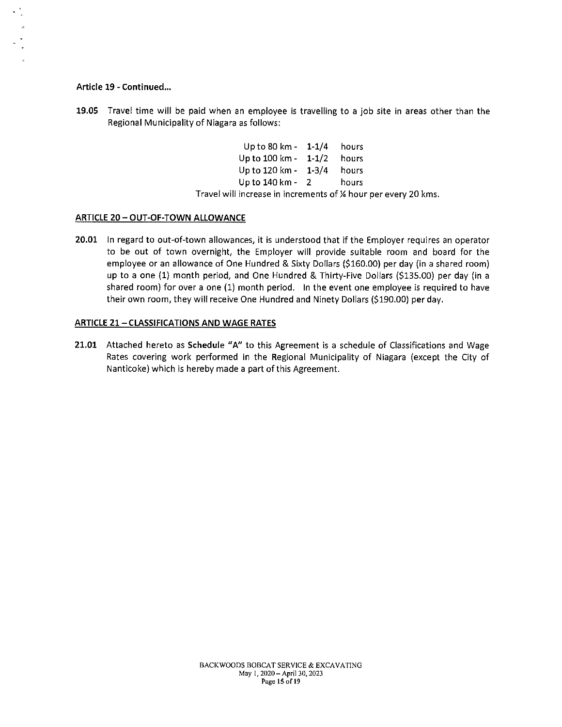#### Article 19 - Continued...

19.05 Travel time will be paid when an employee is travelling to a job site in areas other than the Regional Municipality of Niagara as follows:

| Up to 80 km -  | $1 - 1/4$ | hours |
|----------------|-----------|-------|
| Up to 100 km - | $1 - 1/2$ | hours |
| Up to 120 km - | $1 - 3/4$ | hours |
| Up to 140 km - | 2         | hours |

Travel will increase in increments of % hour per every 20 kms.

#### ARTICLE 20 - OUT-OF-TOWN ALLOWANCE

20.01 In regard to out-of-town allowances, it is understood that if the Employer requires an operator to be out of town overnight, the Employer will provide suitable room and board for the employee or an allowance of One Hundred & Sixty Dollars (\$160.00) per day (in a shared room) up to a one (1) month period, and One Hundred & Thirty-Five Dollars (\$135.00) per day (in a shared room) for over a one (1) month period. In the event one employee is required to have their own room, they will receive One Hundred and Ninety Dollars (\$190.00) per day.

#### ARTICLE 21-CLASSIFICATIONS AND WAGE RATES

21.01 Attached hereto as Schedule "A" to this Agreement is a schedule of Classifications and Wage Rates covering work performed in the Regional Municipality of Niagara (except the City of Nanticoke) which is hereby made a part of this Agreement.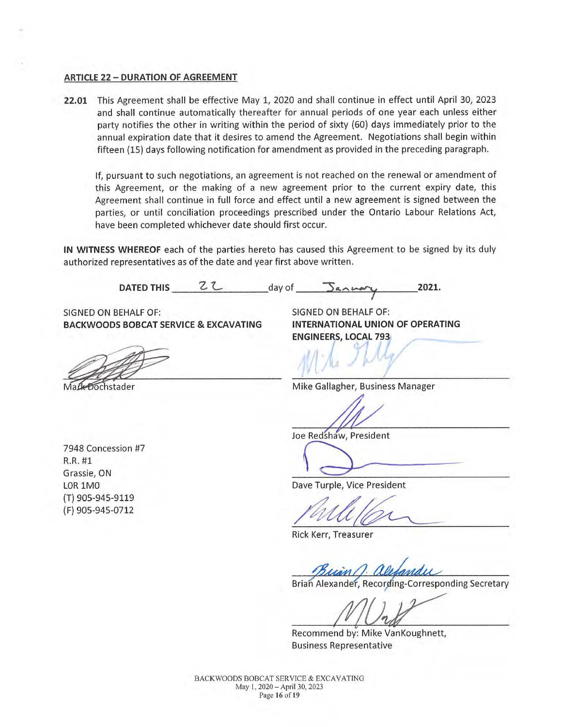#### **ARTICLE 22 - DURATION OF AGREEMENT**

**22.01** This Agreement shall be effective May 1, 2020 and shall continue in effect until April 30, 2023 and shall continue automatically thereafter for annual periods of one year each unless either party notifies the other in writing within the period of sixty (60) days immediately prior to the annual expiration date that it desires to amend the Agreement. Negotiations shall begin within fifteen (15) days following notification for amendment as provided in the preceding paragraph.

If, pursuant to such negotiations, an agreement is not reached on the renewal or amendment of this Agreement, or the making of a new agreement prior to the current expiry date, this Agreement shall continue in full force and effect until a new agreement is signed between the parties, or until conciliation proceedings prescribed under the Ontario Labour Relations Act, have been completed whichever date should first occur.

**IN WITNESS WHEREOF** each of the parties hereto has caused this Agreement to be signed by its duly authorized representatives as of the date and year first above written.

DATED THIS Z.<sup>2</sup> day of 5an way 2021.

SIGNED ON BEHALF OF: SIGNED ON BEHALF OF: **BACKWOODS BOBCAT SERVICE & EXCAVATING INTERNATIONAL UNION OF OPERATING** 

**Dochstader** 

**ENGINEERS, LOCAL 793** I

Mike Gallagher, Business Manager

Joe Redshaw, President

7948 Concession #7 R.R. #1 Grassie, ON LOR 1MO (T) 905-945-9119 ( F) 905-945-0712

Redshaw, President Dave Turple, Vice President

Rick Kerr, Treasurer

Brian Alexander, Recording-Corresponding Secretary

Recommend by: Mike VanKoughnett, Business Representative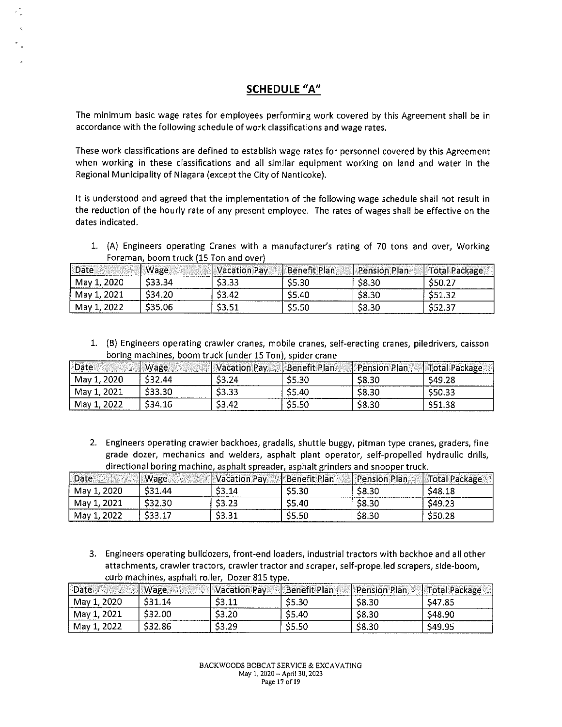# **SCHEDULE "A"**

The minimum basic wage rates for employees performing work covered by this Agreement shall be in accordance with the following schedule of work classifications and wage rates.

These work classifications are defined to establish wage rates for personnel covered by this Agreement when working in these classifications and all similar equipment working on land and water in the Regional Municipality of Niagara (except the City of Nanticoke).

It is understood and agreed that the implementation of the following wage schedule shall not result in the reduction of the hourly rate of any present employee. The rates of wages shall be effective on the dates indicated.

1. (A) Engineers operating Cranes with a manufacturer's rating of 70 tons and over, Working Foreman, boom truck (15 Ton and over)

| Date        | Wage    | <b>Nacation Pav</b> | Benefit Plan | <b>Pension Plan</b> | Total Package |
|-------------|---------|---------------------|--------------|---------------------|---------------|
| May 1, 2020 | \$33.34 | \$3.33              | \$5.30       | \$8.30              | S50.27        |
| May 1, 2021 | \$34.20 | \$3.42              | <b>S5.40</b> | \$8.30              | S51.32        |
| May 1, 2022 | \$35.06 | \$3.51              | \$5.50       | \$8.30              | \$52.37       |

1. (B) Engineers operating crawler cranes, mobile cranes, self-erecting cranes, piledrivers, caisson boring machines. boom truck (under 15 Ton), spider crane

| Date        | Wage    | Vacation Pay | Benefit Plan | <b>Pension Plan</b> | Total Package |
|-------------|---------|--------------|--------------|---------------------|---------------|
| May 1, 2020 | \$32.44 | \$3.24       | \$5.30       | \$8.30              | S49.28        |
| May 1, 2021 | \$33.30 | \$3.33       | S5.40        | \$8.30              | \$50.33       |
| May 1, 2022 | \$34.16 | \$3.42       | <b>S5.50</b> | \$8.30              | \$51.38       |

2. Engineers operating crawler backhoes, gradalls, shuttle buggy, pitman type cranes, graders, fine grade dozer, mechanics and welders, asphalt plant operator, self-propelled hydraulic drills, directional boring machine, asphalt spreader, asphalt grinders and snooper truck.

| <sup>1</sup> Date | Wage    | <i>Vacation Pay</i> | <b>Benefit Plan</b> | <b>Pension Plan</b> | <b>Total Package</b> |
|-------------------|---------|---------------------|---------------------|---------------------|----------------------|
| May 1, 2020       | \$31.44 | \$3.14              | S5.30               | \$8.30              | \$48.18              |
| May 1, 2021       | \$32.30 | \$3.23              | S5.40               | \$8.30              | S49.23               |
| May 1, 2022       | \$33.17 | \$3.31              | S5.50               | \$8.30              | S50.28               |

3. Engineers operating bulldozers, front-end loaders, industrial tractors with backhoe and all other attachments, crawler tractors, crawler tractor and scraper, self-propelled scrapers, side-boom, curb machines, asphalt roller, Dozer 815 type.

| Date        | Wage    | Vacation Pav | Benefit Plan | <b>Pension Plan</b> | <b>Total Package</b> |
|-------------|---------|--------------|--------------|---------------------|----------------------|
| May 1, 2020 | \$31.14 | \$3.11       | S5.30        | \$8.30              | S47.85               |
| May 1, 2021 | \$32.00 | \$3.20       | S5.40        | \$8.30              | S48.90               |
| May 1, 2022 | \$32.86 | \$3.29       | \$5.50       | \$8.30              | S49.95               |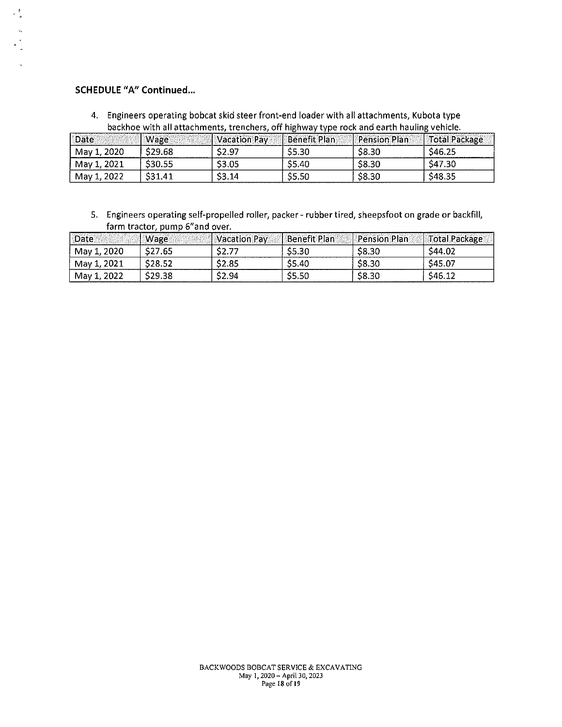# **SCHEDULE "A" Continued ...**

 $\frac{1}{\sqrt{2}}$ 

4. Engineers operating bobcat skid steer front-end loader with all attachments, Kubota type

| backhoe with all attachments, trenchers, off highway type rock and earth hauling vehicle. |         |              |                     |                     |               |
|-------------------------------------------------------------------------------------------|---------|--------------|---------------------|---------------------|---------------|
| Date                                                                                      | Wage    | Vacation Pay | <b>Benefit Plan</b> | <b>Pension Plan</b> | Total Package |
| May 1, 2020                                                                               | \$29.68 | \$2.97       | \$5.30              | \$8.30              | \$46.25       |
| May 1, 2021                                                                               | S30.55  | \$3.05       | S5.40               | \$8.30              | S47.30        |
| May 1, 2022                                                                               | \$31.41 | 53.14        | 55.50               | \$8.30              | \$48.35       |

5. Engineers operating self-propelled roller, packer - rubber tired, sheepsfoot on grade or backfill, farm tractor, pump 6"and over.

| <b>Date</b> | Wage                | Vacation Pay | Benefit Plan | <b>Pension Plan</b> | Total Package |
|-------------|---------------------|--------------|--------------|---------------------|---------------|
| May 1, 2020 | S27.65              | \$2.77       | S5.30        | \$8.30              | \$44.02       |
| May 1, 2021 | S <sub>28</sub> .52 | \$2.85       | S5.40        | \$8.30              | S45.07        |
| May 1, 2022 | S29.38              | \$2.94       | S5.50        | \$8.30              | \$46.12       |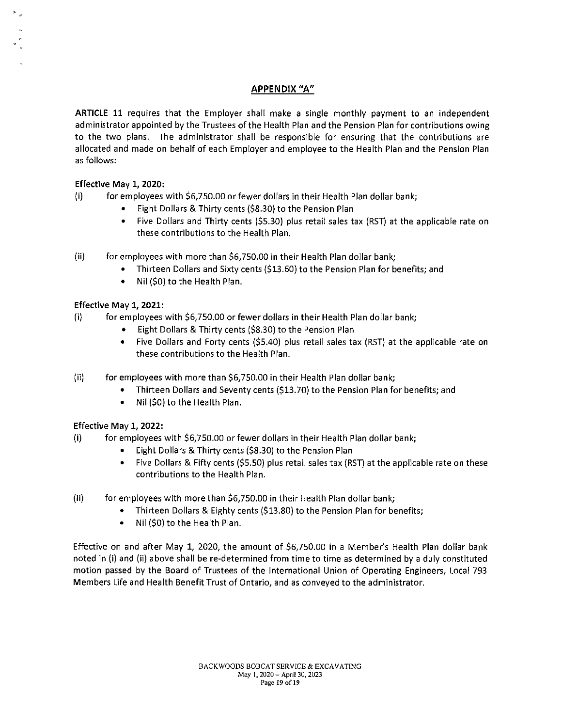# **APPENDIX "A"**

**ARTICLE 11** requires that the Employer shall make a single monthly payment to an independent administrator appointed by the Trustees of the Health Plan and the Pension Plan for contributions owing to the two plans. The administrator shall be responsible for ensuring that the contributions are allocated and made on behalf of each Employer and employee to the Health Plan and the Pension Plan as follows:

# Effective May **1,** 2020:

(i) for employees with \$6,750.00 or fewer dollars in their Health Plan dollar bank;

- Eight Dollars & Thirty cents (\$8.30) to the Pension Plan
- Five Dollars and Thirty cents (\$5.30) plus retail sales tax (RST) at the applicable rate on these contributions to the Health Plan.
- (ii) for employees with more than \$6,750.00 in their Health Plan dollar bank;
	- Thirteen Dollars and Sixty cents (\$13.60) to the Pension Plan for benefits; and
	- Nil (\$0) to the Health Plan.

### Effective May **1, 2021:**

- (i) for employees with \$6,750.00 or fewer dollars in their Health Plan dollar bank;
	- Eight Dollars & Thirty cents (\$8.30) to the Pension Plan
	- Five Dollars and Forty cents (\$5.40) plus retail sales tax (RST) at the applicable rate on these contributions to the Health Plan.
- (ii) for employees with more than \$6,750.00 in their Health Plan dollar bank;
	- Thirteen Dollars and Seventy cents (\$13.70) to the Pension Plan for benefits; and
	- Nil (\$0) to the Health Plan.

#### Effective May **1, 2022:**

- (i) for employees with \$6,750.00 or fewer dollars in their Health Plan dollar bank;
	- Eight Dollars & Thirty cents (\$8.30) to the Pension Plan
	- Five Dollars & Fifty cents (\$5.50) plus retail sales tax (RST) at the applicable rate on these contributions to the Health Plan.
- (ii) for employees with more than \$6,750.00 in their Health Plan dollar bank;
	- Thirteen Dollars & Eighty cents (\$13.80) to the Pension Plan for benefits;
	- Nil (\$0) to the Health Plan.

Effective on and after May **1,** 2020, the amount of \$6,750.00 in a Member's Health Plan dollar bank noted in (i) and (ii) above shall be re-determined from time to time as determined by a duly constituted motion passed by the Board of Trustees of the International Union of Operating Engineers, Local 793 Members Life and Health Benefit Trust of Ontario, and as conveyed to the administrator.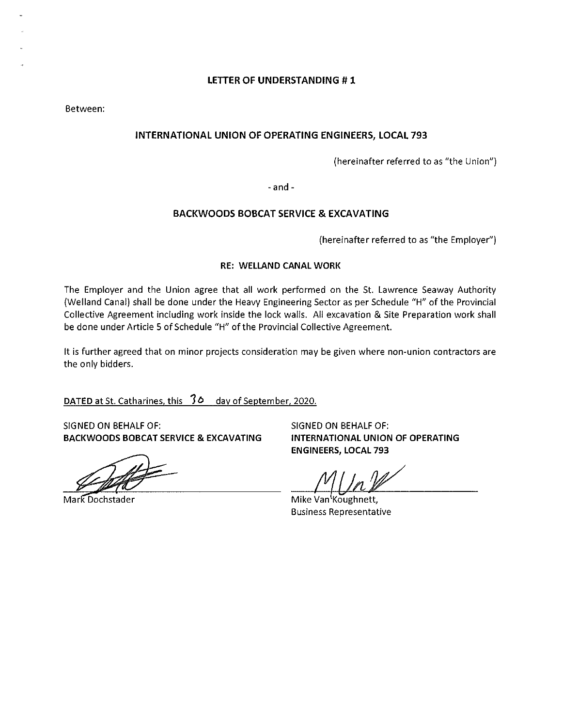Between:

## **INTERNATIONAL UNION OF OPERATING ENGINEERS, LOCAL 793**

(hereinafter referred to as "the Union")

- and -

### **BACKWOODS BOBCAT SERVICE & EXCAVATING**

(hereinafter referred to as "the Employer")

#### **RE: WELLAND CANAL WORK**

The Employer and the Union agree that all work performed on the St. Lawrence Seaway Authority (Welland Canal) shall be done under the Heavy Engineering Sector as per Schedule "H" of the Provincial Collective Agreement including work inside the lock walls. All excavation & Site Preparation work shall be done under Article 5 of Schedule "H" of the Provincial Collective Agreement.

It is further agreed that on minor projects consideration may be given where non-union contractors are the only bidders.

**DATED** at St. Catharines, this **10** day of September. 2020.

SIGNED ON BEHALF OF: SIGNED ON BEHALF OF: **BACKWOODS BOBCAT SERVICE & EXCAVATING INTERNATIONAL UNION OF OPERATING** 

Mark Dochstader

**ENGINEERS, LOCAL 793** 

Mike Van Koughnett, Business Representative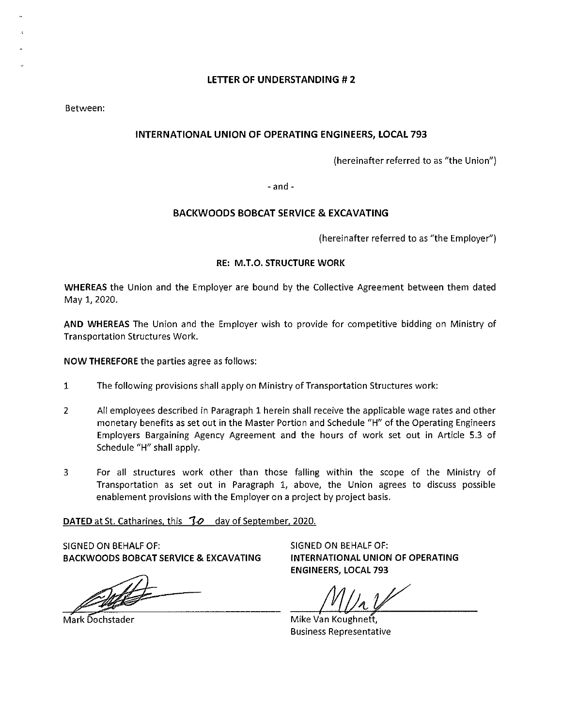Between:

# INTERNATIONAL UNION OF OPERATING ENGINEERS, LOCAL 793

(hereinafter referred to as "the Union")

- and -

### BACKWOODS BOBCAT SERVICE & EXCAVATING

(hereinafter referred to as "the Employer")

## RE: M.T.O. STRUCTURE WORK

WHEREAS the Union and the Employer are bound by the Collective Agreement between them dated May 1, 2020.

AND WHEREAS The Union and the Employer wish to provide for competitive bidding on Ministry of Transportation Structures Work.

NOW THEREFORE the parties agree as follows:

- 1 The following provisions shall apply on Ministry of Transportation Structures work:
- 2 All employees described in Paragraph 1 herein shall receive the applicable wage rates and other monetary benefits as set out in the Master Portion and Schedule "H" of the Operating Engineers Employers Bargaining Agency Agreement and the hours of work set out in Article 5.3 of Schedule "H" shall apply.
- 3 For all structures work other than those falling within the scope of the Ministry of Transportation as set out in Paragraph 1, *above,* the Union agrees to discuss possible enablement provisions with the Employer on a project by project basis.

DATED at St. Catharines, this *To* day of September, 2020.

SIGNED ON BEHALF OF: BACKWOODS BOBCAT SERVICE & EXCAVATING

ark Dochstader

Mark Dochstader

SIGNED ON BEHALF OF: INTERNATIONAL UNION OF OPERATING ENGINEERS, LOCAL 793

Mike Van Koughnett, Business Representative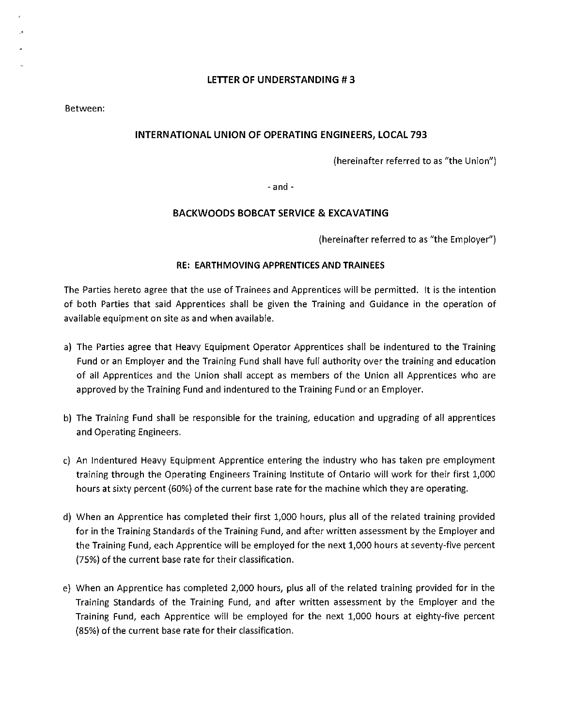Between:

### **INTERNATIONAL UNION OF OPERATING ENGINEERS, LOCAL 793**

(hereinafter referred to as "the Union")

- and -

#### **BACKWOODS BOBCAT SERVICE & EXCAVATING**

(hereinafter referred to as "the Employer")

#### **RE: EARTHMOVING APPRENTICES AND TRAINEES**

The Parties hereto agree that the use of Trainees and Apprentices will be permitted. It is the intention of both Parties that said Apprentices shall be given the Training and Guidance in the operation of available equipment on site as and when available.

- a) The Parties agree that Heavy Equipment Operator Apprentices shall be indentured to the Training Fund or an Employer and the Training Fund shall have full authority over the training and education of all Apprentices and the Union shall accept as members of the Union all Apprentices who are approved by the Training Fund and indentured to the Training Fund or an Employer.
- b) The Training Fund shall be responsible for the training, education and upgrading of all apprentices and Operating Engineers.
- c) An Indentured Heavy Equipment Apprentice entering the industry who has taken pre employment training through the Operating Engineers Training Institute of Ontario will work for their first 1,000 hours at sixty percent (60%) of the current base rate for the machine which they are operating.
- d) When an Apprentice has completed their first 1,000 hours, plus all of the related training provided for in the Training Standards of the Training Fund, and after written assessment by the Employer and the Training Fund, each Apprentice will be employed for the next 1,000 hours at seventy-five percent (75%) of the current base rate for their classification.
- e) When an Apprentice has completed 2,000 hours, plus all of the related training provided for in the Training Standards of the Training Fund, and after written assessment by the Employer and the Training Fund, each Apprentice will be employed for the next 1,000 hours at eighty-five percent (85%) of the current base rate for their classification.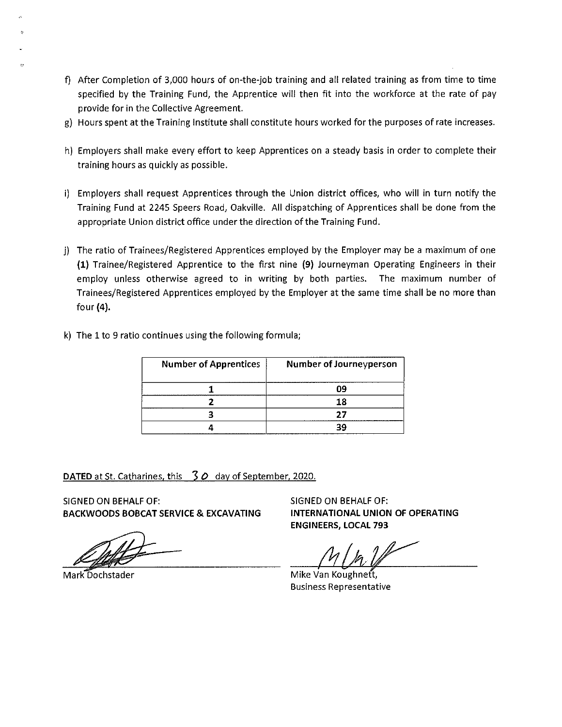- f) After Completion of 3,000 hours of on-the-job training and all related training as from time to time specified by the Training Fund, the Apprentice will then fit into the workforce at the rate of pay provide for in the Collective Agreement.
- g) Hours spent at the Training Institute shall constitute hours worked for the purposes of rate increases.
- h) Employers shall make every effort to keep Apprentices on a steady basis in order to complete their training hours as quickly as possible.
- i) Employers shall request Apprentices through the Union district offices, who will in turn notify the Training Fund at 2245 Speers Road, Oakville. All dispatching of Apprentices shall be done from the appropriate Union district office under the direction of the Training Fund.
- j) The ratio of Trainees/Registered Apprentices employed by the Employer may be a maximum of one {1} Trainee/Registered Apprentice to the first nine {9} Journeyman Operating Engineers in their employ unless otherwise agreed to in writing by both parties. The maximum number of Trainees/Registered Apprentices employed by the Employer at the same time shall be no more than four (4).
- k) The 1 to 9 ratio continues using the following formula;

| <b>Number of Apprentices</b> | Number of Journeyperson |
|------------------------------|-------------------------|
|                              | በባ                      |
|                              | 18                      |
|                              | つつ                      |
|                              | 2C                      |

DATED at St. Catharines, this 30 day of September, 2020.

SIGNED ON BEHALF OF: BACKWOODS BOBCAT SERVICE & EXCAVATING

Mark Dochstader

SIGNED ON BEHALF OF: INTERNATIONAL UNION OF OPERATING ENGINEERS, LOCAL 793

Mike Van Business Representative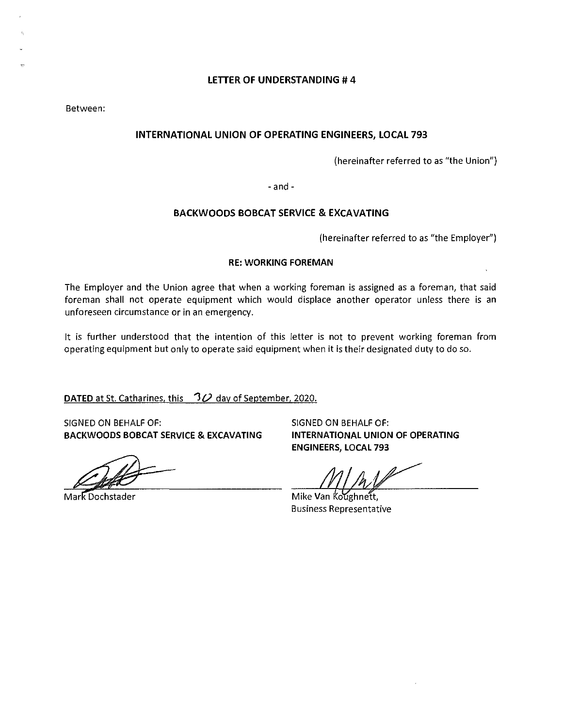Between:

# **INTERNATIONAL UNION OF OPERATING ENGINEERS, LOCAL 793**

(hereinafter referred to as "the Union")

- and -

#### **BACKWOODS BOBCAT SERVICE & EXCAVATING**

(hereinafter referred to as "the Employer")

#### **RE: WORKING FOREMAN**

The Employer and the Union agree that when a working foreman is assigned as a foreman, that said foreman shall not operate equipment which would displace another operator unless there is an unforeseen circumstance or in an emergency.

It is further understood that the intention of this letter is not to prevent working foreman from operating equipment but only to operate said equipment when it is their designated duty to do so.

**DATED** at St. Catharines, this *'10* day of September, 2020.

SIGNED ON BEHALF OF: SIGNED ON BEHALF OF: **BACKWOODS BOBCAT SERVICE & EXCAVATING** 

Mark Dochstader

**INTERNATIONAL UNION OF OPERATING ENGINEERS, LOCAL 793** 

Mike Van Koughnett. Business Representative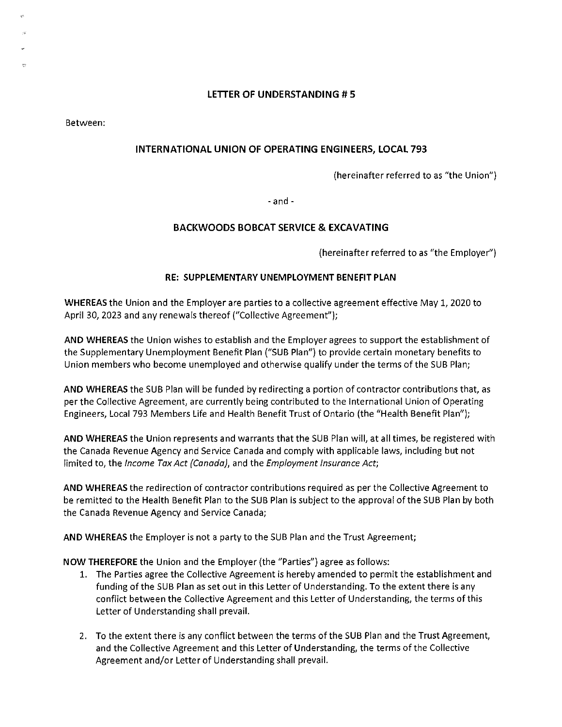Between:

# **INTERNATIONAL UNION OF OPERATING ENGINEERS, LOCAL 793**

(hereinafter referred to as "the Union")

- and -

### **BACKWOODS BOBCAT SERVICE & EXCAVATING**

(hereinafter referred to as "the Employer")

### **RE: SUPPLEMENTARY UNEMPLOYMENT BENEFIT PLAN**

**WHEREAS** the Union and the Employer are parties to a collective agreement effective May 1, 2020 to April 30, 2023 and any renewals thereof ("Collective Agreement");

**AND WHEREAS** the Union wishes to establish and the Employer agrees to support the establishment of the Supplementary Unemployment Benefit Plan ("SUB Plan") to provide certain monetary benefits to Union members who become unemployed and otherwise qualify under the terms of the SUB Plan;

**AND WHEREAS** the SUB Plan will be funded by redirecting a portion of contractor contributions that, as per the Collective Agreement, are currently being contributed to the International Union of Operating Engineers, Local 793 Members Life and Health Benefit Trust of Ontario (the "Health Benefit Plan");

**AND WHEREAS** the Union represents and warrants that the SUB Plan will, at all times, be registered with the Canada Revenue Agency and Service Canada and comply with applicable Jaws, including but not limited to, the Income Tax Act {Canada), and the Employment Insurance Act;

**AND WHEREAS** the redirection of contractor contributions required as per the Collective Agreement to be remitted to the Health Benefit Plan to the SUB Plan is subject to the approval of the SUB Plan by both the Canada Revenue Agency and Service Canada;

**AND WHEREAS** the Employer is not a party to the SUB Plan and the Trust Agreement;

**NOW THEREFORE** the Union and the Employer (the "Parties") agree as follows:

- 1. The Parties agree the Collective Agreement is hereby amended to permit the establishment and funding of the SUB Plan as set out in this Letter of Understanding. To the extent there is any conflict between the Collective Agreement and this Letter of Understanding, the terms of this Letter of Understanding shall prevail.
- 2. To the extent there is any conflict between the terms of the SUB Plan and the Trust Agreement, and the Collective Agreement and this Letter of Understanding, the terms of the Collective Agreement and/or Letter of Understanding shall prevail.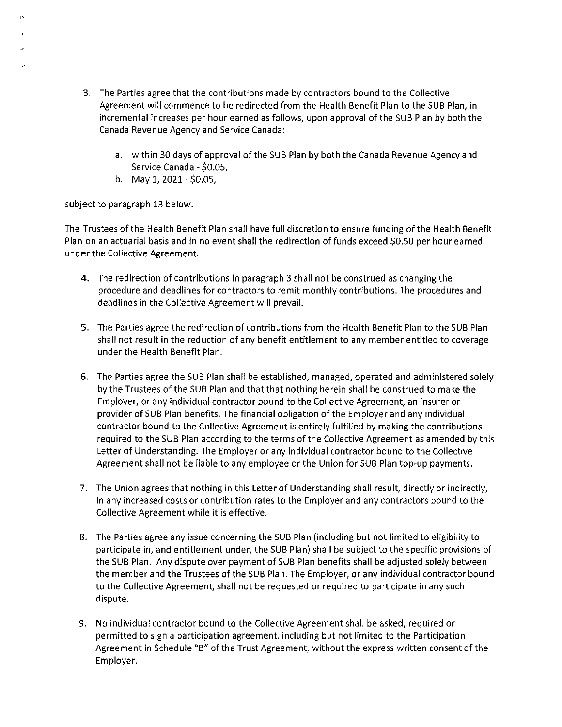- 3. The Parties agree that the contributions made by contractors bound to the Collective Agreement will commence to be redirected from the Health Benefit Plan to the SUB Plan, in incremental increases per hour earned as follows, upon approval of the SUB Plan by both the Canada Revenue Agency and Service Canada:
	- a. within 30 days of approval of the SUB Plan by both the Canada Revenue Agency and Service Canada - \$0.05,
	- b. May  $1, 2021 $0.05$ ,

subject to paragraph 13 below.

 $\mathbb{R}^2$ 

The Trustees of the Health Benefit Plan shall have full discretion to ensure funding of the Health Benefit Plan on an actuarial basis and in no event shall the redirection of funds exceed \$0.50 per hour earned under the Collective Agreement.

- 4. The redirection of contributions in paragraph 3 shall not be construed as changing the procedure and deadlines for contractors to remit monthly contributions. The procedures and deadlines in the Collective Agreement will prevail.
- 5. The Parties agree the redirection of contributions from the Health Benefit Plan to the SUB Plan shall not result in the reduction of any benefit entitlement to any member entitled to coverage under the Health Benefit Plan.
- 6. The Parties agree the SUB Plan shall be established, managed, operated and administered solely by the Trustees of the SUB Plan and that that nothing herein shall be construed to make the Employer, or any individual contractor bound to the Collective Agreement, an insurer or provider of SUB Plan benefits. The financial obligation of the Employer and any individual contractor bound to the Collective Agreement is entirely fulfilled by making the contributions required to the SUB Plan according to the terms of the Collective Agreement as amended by this Letter of Understanding. The Employer or any individual contractor bound to the Collective Agreement shall not be liable to any employee or the Union for SUB Plan top-up payments.
- 7. The Union agrees that nothing in this Letter of Understanding shall result, directly or indirectly, in any increased costs or contribution rates to the Employer and any contractors bound to the Collective Agreement while it is effective.
- 8. The Parties agree any issue concerning the SUB Plan (including but not limited to eligibility to participate in, and entitlement under, the SUB Plan) shall be subject to the specific provisions of the SUB Plan. Any dispute over payment of SUB Plan benefits shall be adjusted solely between the member and the Trustees of the SUB Plan. The Employer, or any individual contractor bound to the Collective Agreement, shall not be requested or required to participate in any such dispute.
- 9. No individual contractor bound to the Collective Agreement shall be asked, required or permitted to sign a participation agreement, including but not limited to the Participation Agreement in Schedule "B" of the Trust Agreement, without the express written consent of the Employer.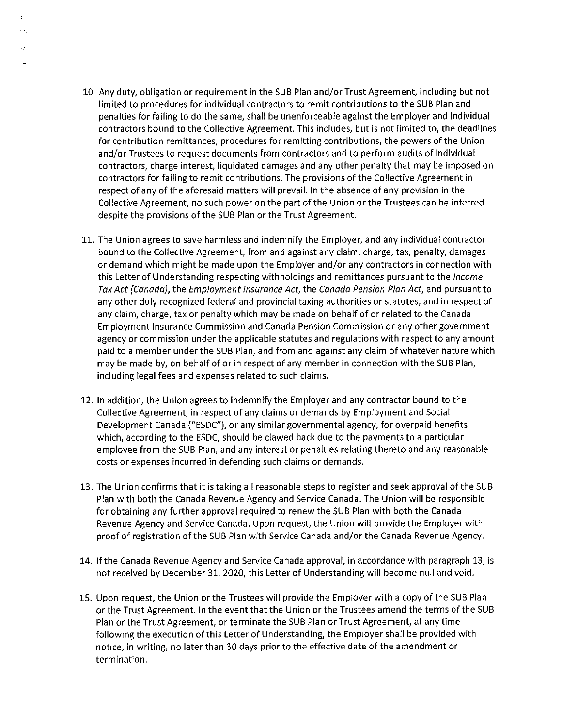10. Any duty, obligation or requirement in the SUB Plan and/or Trust Agreement, including but not limited to procedures for individual contractors to remit contributions to the SUB Plan and penalties for failing to do the same, shall be unenforceable against the Employer and individual contractors bound to the Collective Agreement. This includes, but is not limited to, the deadlines for contribution remittances, procedures for remitting contributions, the powers of the Union and/or Trustees to request documents from contractors and to perform audits of individual contractors, charge interest, liquidated damages and any other penalty that may be imposed on contractors for failing to remit contributions. The provisions of the Collective Agreement in respect of any of the aforesaid matters will prevail. In the absence of any provision in the Collective Agreement, no such power on the part of the Union or the Trustees can be inferred despite the provisions of the SUB Plan or the Trust Agreement.

 $\mathbb{F}_{\frac{N_1}{2}}$ 

ę.<br>Pr

- 11. The Union agrees to save harmless and indemnify the Employer, and any individual contractor bound to the Collective Agreement, from and against any claim, charge, tax, penalty, damages or demand which might be made upon the Employer and/or any contractors in connection with this Letter of Understanding respecting withholdings and remittances pursuant to the Income Tax Act (Canada), the Employment Insurance Act, the Canada Pension Plan Act, and pursuant to any other duly recognized federal and provincial taxing authorities or statutes, and in respect of any claim, charge, tax or penalty which may be made on behalf of or related to the Canada Employment Insurance Commission and Canada Pension Commission or any other government agency or commission under the applicable statutes and regulations with respect to any amount paid to a member under the SUB Plan, and from and against any claim of whatever nature which may be made by, on behalf of or in respect of any member in connection with the SUB Plan, including legal fees and expenses related to such claims.
- 12. In addition, the Union agrees to indemnify the Employer and any contractor bound to the Collective Agreement, in respect of any claims or demands by Employment and Social Development Canada ("ESDC"), or any similar governmental agency, for overpaid benefits which, according to the ESDC, should be clawed back due to the payments to a particular employee from the SUB Plan, and any interest or penalties relating thereto and any reasonable costs or expenses incurred in defending such claims or demands.
- 13. The Union confirms that it is taking all reasonable steps to register and seek approval of the SUB Plan with both the Canada Revenue Agency and Service Canada. The Union will be responsible for obtaining any further approval required to renew the SUB Plan with both the Canada Revenue Agency and Service Canada. Upon request, the Union will provide the Employer with proof of registration of the SUB Plan with Service Canada and/or the Canada Revenue Agency.
- 14. If the Canada Revenue Agency and Service Canada approval, in accordance with paragraph 13, is not received by December 31, 2020, this Letter of Understanding will become null and void.
- 15. Upon request, the Union or the Trustees will provide the Employer with a copy of the SUB Plan or the Trust Agreement. In the event that the Union or the Trustees amend the terms of the SUB Plan or the Trust Agreement, or terminate the SUB Plan or Trust Agreement, at any time following the execution of this Letter of Understanding, the Employer shall be provided with notice, in writing, no later than 30 days prior to the effective date of the amendment or termination.